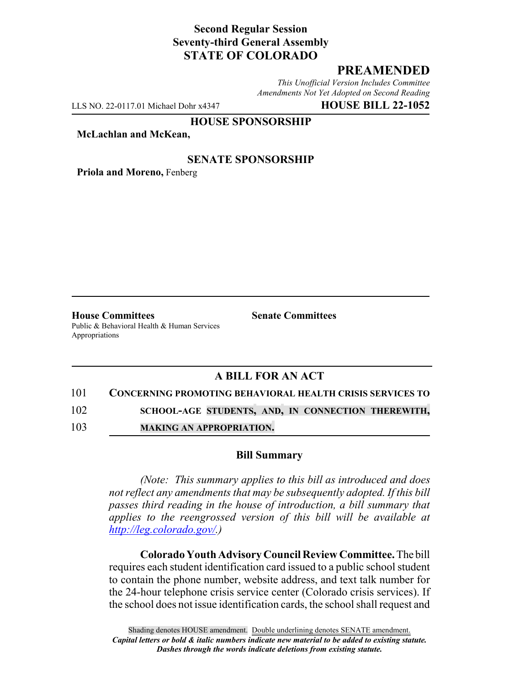# **Second Regular Session Seventy-third General Assembly STATE OF COLORADO**

# **PREAMENDED**

*This Unofficial Version Includes Committee Amendments Not Yet Adopted on Second Reading*

LLS NO. 22-0117.01 Michael Dohr x4347 **HOUSE BILL 22-1052**

#### **HOUSE SPONSORSHIP**

**McLachlan and McKean,**

### **SENATE SPONSORSHIP**

**Priola and Moreno,** Fenberg

**House Committees Senate Committees** Public & Behavioral Health & Human Services Appropriations

## **A BILL FOR AN ACT**

#### 101 **CONCERNING PROMOTING BEHAVIORAL HEALTH CRISIS SERVICES TO**

102 **SCHOOL-AGE STUDENTS, AND, IN CONNECTION THEREWITH,**

103 **MAKING AN APPROPRIATION.**

### **Bill Summary**

*(Note: This summary applies to this bill as introduced and does not reflect any amendments that may be subsequently adopted. If this bill passes third reading in the house of introduction, a bill summary that applies to the reengrossed version of this bill will be available at http://leg.colorado.gov/.)*

**Colorado Youth Advisory Council Review Committee.** The bill requires each student identification card issued to a public school student to contain the phone number, website address, and text talk number for the 24-hour telephone crisis service center (Colorado crisis services). If the school does not issue identification cards, the school shall request and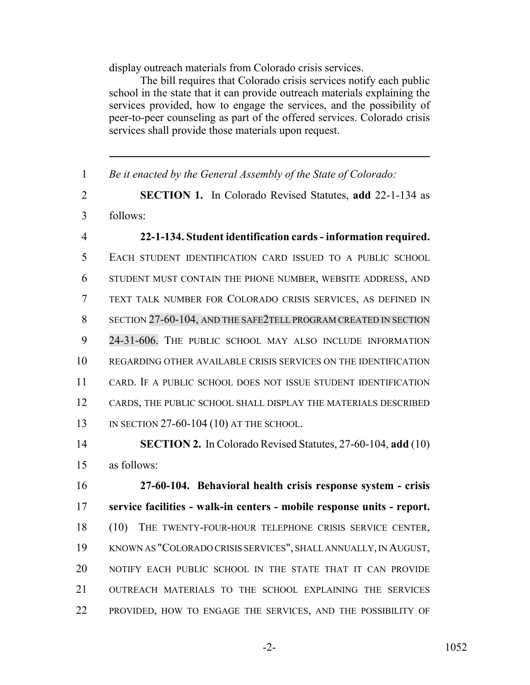display outreach materials from Colorado crisis services.

The bill requires that Colorado crisis services notify each public school in the state that it can provide outreach materials explaining the services provided, how to engage the services, and the possibility of peer-to-peer counseling as part of the offered services. Colorado crisis services shall provide those materials upon request.

 *Be it enacted by the General Assembly of the State of Colorado:* **SECTION 1.** In Colorado Revised Statutes, **add** 22-1-134 as follows: **22-1-134. Student identification cards - information required.** EACH STUDENT IDENTIFICATION CARD ISSUED TO A PUBLIC SCHOOL STUDENT MUST CONTAIN THE PHONE NUMBER, WEBSITE ADDRESS, AND TEXT TALK NUMBER FOR COLORADO CRISIS SERVICES, AS DEFINED IN SECTION 27-60-104, AND THE SAFE2TELL PROGRAM CREATED IN SECTION 24-31-606. THE PUBLIC SCHOOL MAY ALSO INCLUDE INFORMATION REGARDING OTHER AVAILABLE CRISIS SERVICES ON THE IDENTIFICATION CARD. IF A PUBLIC SCHOOL DOES NOT ISSUE STUDENT IDENTIFICATION CARDS, THE PUBLIC SCHOOL SHALL DISPLAY THE MATERIALS DESCRIBED IN SECTION 27-60-104 (10) AT THE SCHOOL. **SECTION 2.** In Colorado Revised Statutes, 27-60-104, **add** (10)

as follows:

 **27-60-104. Behavioral health crisis response system - crisis service facilities - walk-in centers - mobile response units - report.** (10) THE TWENTY-FOUR-HOUR TELEPHONE CRISIS SERVICE CENTER, KNOWN AS "COLORADO CRISIS SERVICES", SHALL ANNUALLY, IN AUGUST, NOTIFY EACH PUBLIC SCHOOL IN THE STATE THAT IT CAN PROVIDE OUTREACH MATERIALS TO THE SCHOOL EXPLAINING THE SERVICES 22 PROVIDED, HOW TO ENGAGE THE SERVICES, AND THE POSSIBILITY OF